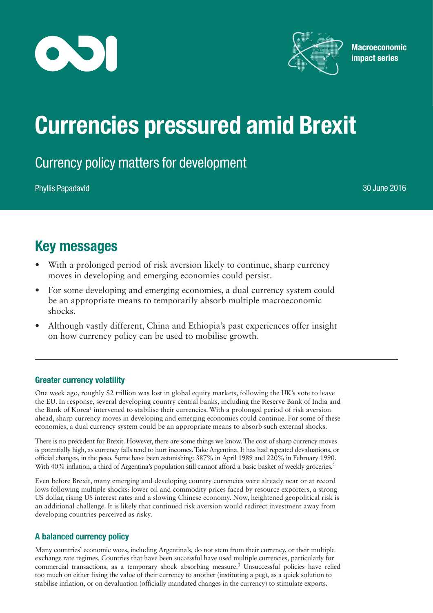



**Macroeconomic** impact series

# Currencies pressured amid Brexit

# Currency policy matters for development

Phyllis Papadavid 30 June 2016

# Key messages

- With a prolonged period of risk aversion likely to continue, sharp currency moves in developing and emerging economies could persist.
- For some developing and emerging economies, a dual currency system could be an appropriate means to temporarily absorb multiple macroeconomic shocks.
- Although vastly different, China and Ethiopia's past experiences offer insight on how currency policy can be used to mobilise growth.

## Greater currency volatility

One week ago, roughly \$2 trillion was lost in global equity markets, following the UK's vote to leave the EU. In response, several developing country central banks, including the Reserve Bank of India and the Bank of Korea<sup>1</sup> intervened to stabilise their currencies. With a prolonged period of risk aversion ahead, sharp currency moves in developing and emerging economies could continue. For some of these economies, a dual currency system could be an appropriate means to absorb such external shocks.

There is no precedent for Brexit. However, there are some things we know.The cost of sharp currency moves is potentially high, as currency falls tend to hurt incomes.Take Argentina. It has had repeated devaluations, or official changes, in the peso. Some have been astonishing: 387% in April 1989 and 220% in February 1990. With 40% inflation, a third of Argentina's population still cannot afford a basic basket of weekly groceries.<sup>2</sup>

Even before Brexit, many emerging and developing country currencies were already near or at record lows following multiple shocks: lower oil and commodity prices faced by resource exporters, a strong US dollar, rising US interest rates and a slowing Chinese economy. Now, heightened geopolitical risk is an additional challenge. It is likely that continued risk aversion would redirect investment away from developing countries perceived as risky.

## A balanced currency policy

Many countries' economic woes, including Argentina's, do not stem from their currency, or their multiple exchange rate regimes. Countries that have been successful have used multiple currencies, particularly for commercial transactions, as a temporary shock absorbing measure.<sup>3</sup> Unsuccessful policies have relied too much on either fixing the value of their currency to another (instituting a peg), as a quick solution to stabilise inflation, or on devaluation (officially mandated changes in the currency) to stimulate exports.